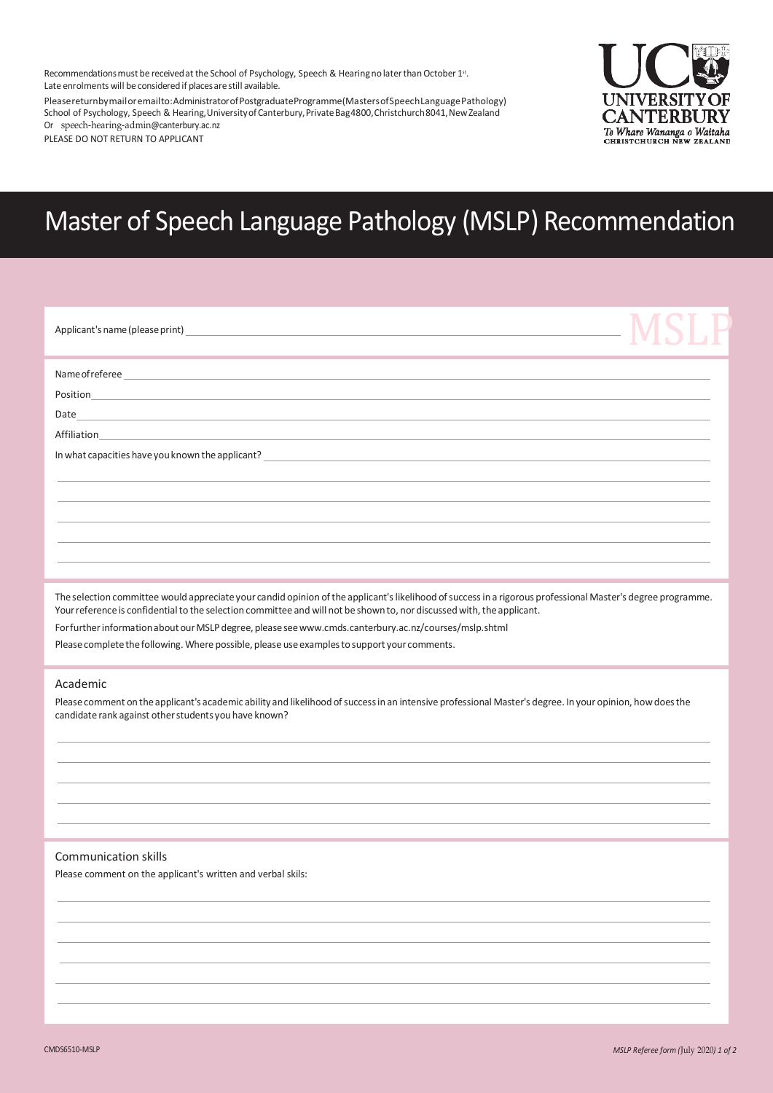Recommendations must be received at the School of Psychology, Speech & Hearing no later than October 1st. Late enrolments will be considered if places are still available.

Pleasereturnbymailoremailto:AdministratorofPostgraduateProgramme(MastersofSpeechLanguagePathology) School of Psychology, Speech & Hearing, University of Canterbury, Private Bag4800, Christchurch 8041, New Zealand Or [speech-hearing-admin](mailto:speech-hearing-admin@canterbury.ac.nz)@canterbury.ac.nz

PLEASE DO NOT RETURN TO APPLICANT



# Master of Speech Language Pathology (MSLP) Recommendation

| ,我们也不能会在这里,我们也不能会在这里,我们也不能会在这里,我们也不能会不能会不能会不能会不能会不能会不能会不能会。""我们,我们也不能会不能会不能会不能会不 |  |
|----------------------------------------------------------------------------------|--|
|                                                                                  |  |
|                                                                                  |  |
|                                                                                  |  |
|                                                                                  |  |
|                                                                                  |  |

Theselection committee would appreciateyour candid opinion ofthe applicant'slikelihood ofsuccessin a rigorous professional Master's degree programme. Your reference is confidential to the selection committee and will not be shown to, nor discussed with, the applicant.

Forfurtherinformationabout ourMSLPdegree, pleasese[ewww.cmds.canterbury.ac.nz/courses/mslp.shtml](http://www.cmds.canterbury.ac.nz/courses/mslp.shtml)

Please complete the following. Where possible, please use examples to support your comments.

#### Academic

Please comment on the applicant's academic ability and likelihood of success in an intensive professional Master's degree. In your opinion, how does the candidate rank against other students you have known?

### Communication skills

Please comment on the applicant's written and verbal skils: